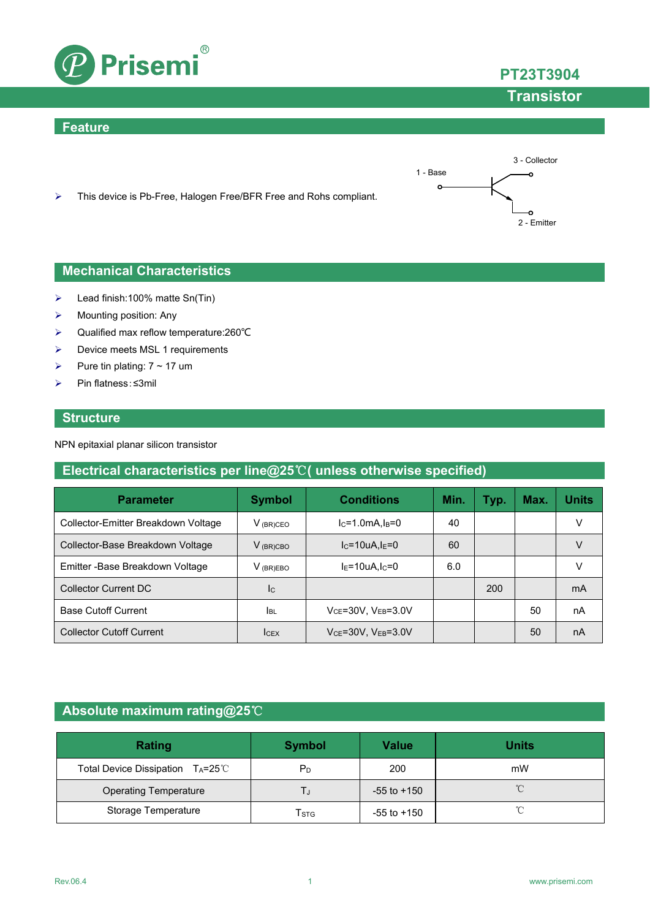

#### **Feature**





#### **Mechanical Characteristics**

- $\blacktriangleright$  Lead finish:100% matte Sn(Tin)
- $\triangleright$  Mounting position: Any
- Qualified max reflow temperature:260℃
- $\triangleright$  Device meets MSL 1 requirements
- Pure tin plating:  $7 \sim 17$  um
- Pin flatness:≤3mil

#### **Structure**

NPN epitaxial planar silicon transistor

### **Electrical characteristics per line@25**℃**( unless otherwise specified)**

| <b>Parameter</b>                    | <b>Conditions</b><br><b>Symbol</b> |                               | Min. | Typ. | Max. | Units |
|-------------------------------------|------------------------------------|-------------------------------|------|------|------|-------|
| Collector-Emitter Breakdown Voltage | $V_{(BR)CEO}$                      | $lc=1.0mA, l_B=0$             | 40   |      |      | v     |
| Collector-Base Breakdown Voltage    | $V_{(BR)CBO}$                      | $I_{C}$ =10uA, $I_{E}$ =0     | 60   |      |      | V     |
| Emitter - Base Breakdown Voltage    | $V_{(BR)EBO}$                      | $IE=10uA, IC=0$               | 6.0  |      |      |       |
| Collector Current DC                | <b>I</b> c                         |                               |      | 200  |      | mA    |
| <b>Base Cutoff Current</b>          | <b>I</b> BL                        | $V_{CE}$ =30V, $V_{EB}$ =3.0V |      |      | 50   | nA    |
| <b>Collector Cutoff Current</b>     | <b>ICEX</b>                        | $VCE=30V$ , $VEB=3.0V$        |      |      | 50   | nA    |

### **Absolute maximum rating@25**℃

| Rating                          | <b>Symbol</b> | <b>Value</b>    | <b>Units</b>        |
|---------------------------------|---------------|-----------------|---------------------|
| Total Device Dissipation TA=25℃ | $P_D$         | 200             | mW                  |
| <b>Operating Temperature</b>    |               | $-55$ to $+150$ | $\int_{0}^{\infty}$ |
| Storage Temperature             | Tstg          | $-55$ to $+150$ | °C                  |



3 - Collector

۰o

1 - Base

 $\circ$ 

2 - Emitter

**Transistor**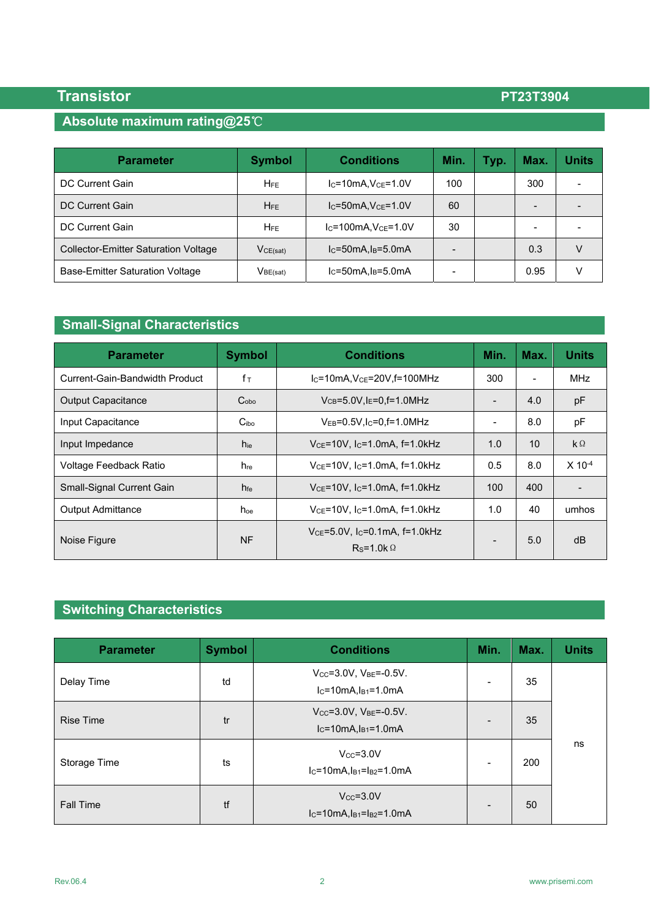# **Absolute maximum rating@25**℃

| <b>Parameter</b>                            | <b>Symbol</b>   | <b>Conditions</b>          | Min. | Typ. | Max. | Units |
|---------------------------------------------|-----------------|----------------------------|------|------|------|-------|
| DC Current Gain                             | $H_{\rm FE}$    | $IC=10mA, VCE=1.0V$        | 100  |      | 300  |       |
| DC Current Gain                             | $H_{FE}$        | $IC=50mA, VCE=1.0V$        | 60   |      | -    |       |
| <b>DC Current Gain</b>                      | H <sub>FE</sub> | $IC=100mA, VCE=1.0V$       | 30   |      | -    |       |
| <b>Collector-Emitter Saturation Voltage</b> | $V_{CE(sat)}$   | $IC=50mA, IB=5.0mA$        |      |      | 0.3  |       |
| <b>Base-Emitter Saturation Voltage</b>      | $V_{BE(sat)}$   | $lc = 50mA$ , $ls = 5.0mA$ |      |      | 0.95 | v     |

# **Small-Signal Characteristics**

| <b>Parameter</b>               | <b>Symbol</b>    | <b>Conditions</b>                                        |                 | Max.                     | <b>Units</b>         |
|--------------------------------|------------------|----------------------------------------------------------|-----------------|--------------------------|----------------------|
| Current-Gain-Bandwidth Product | $f_{\top}$       | $IC=10mA, VCE=20V,f=100MHz$                              |                 | $\overline{\phantom{a}}$ | <b>MHz</b>           |
| <b>Output Capacitance</b>      | C <sub>obo</sub> | $V_{CB} = 5.0V$ , $I_E = 0$ , $f = 1.0MHz$               |                 | 4.0                      | pF                   |
| Input Capacitance              | C <sub>ibo</sub> | $V_{EB} = 0.5V$ . Ic=0. f = 1.0MHz                       |                 | 8.0                      | рF                   |
| Input Impedance                | h <sub>ie</sub>  | $V_{CE}$ =10V, I <sub>C</sub> =1.0mA, f=1.0kHz           |                 | 10                       | $k\Omega$            |
| Voltage Feedback Ratio         | h <sub>re</sub>  | $V_{CE}$ =10V, I <sub>C</sub> =1.0mA, f=1.0kHz           |                 | 8.0                      | $X$ 10 <sup>-4</sup> |
| Small-Signal Current Gain      | h <sub>fe</sub>  | $V_{CE}$ =10V, I <sub>C</sub> =1.0mA, f=1.0kHz           |                 | 400                      |                      |
| <b>Output Admittance</b>       | $h_{oe}$         | $V_{CE}$ =10V, I <sub>C</sub> =1.0mA, f=1.0kHz           | 1.0             | 40                       | umhos                |
| Noise Figure                   | <b>NF</b>        | $V_{CE} = 5.0 V$ , Ic=0.1mA, f=1.0kHz<br>$Rs=1.0k\Omega$ | $\qquad \qquad$ | 5.0                      | dB                   |

# **Switching Characteristics**

| <b>Parameter</b> | <b>Symbol</b> | <b>Conditions</b>                                                    | Min.                     | Max. | <b>Units</b> |
|------------------|---------------|----------------------------------------------------------------------|--------------------------|------|--------------|
| Delay Time       | td            | $V_{CC} = 3.0V$ , $V_{BE} = -0.5V$ .<br>$IC=10mA, IB1=1.0mA$         |                          | 35   |              |
| <b>Rise Time</b> | tr            | $V_{CC} = 3.0V$ , $V_{BE} = -0.5V$ .<br>$I_C = 10mA, I_{B1} = 1.0mA$ |                          | 35   |              |
| Storage Time     | ts            | $V_{CC} = 3.0V$<br>$IC=10mA, IB1=IB2=1.0mA$                          | $\overline{\phantom{a}}$ | 200  | ns           |
| <b>Fall Time</b> | tf            | $V_{CC} = 3.0V$<br>$I_C = 10mA$ , $I_B = I_B = 1.0mA$                |                          | 50   |              |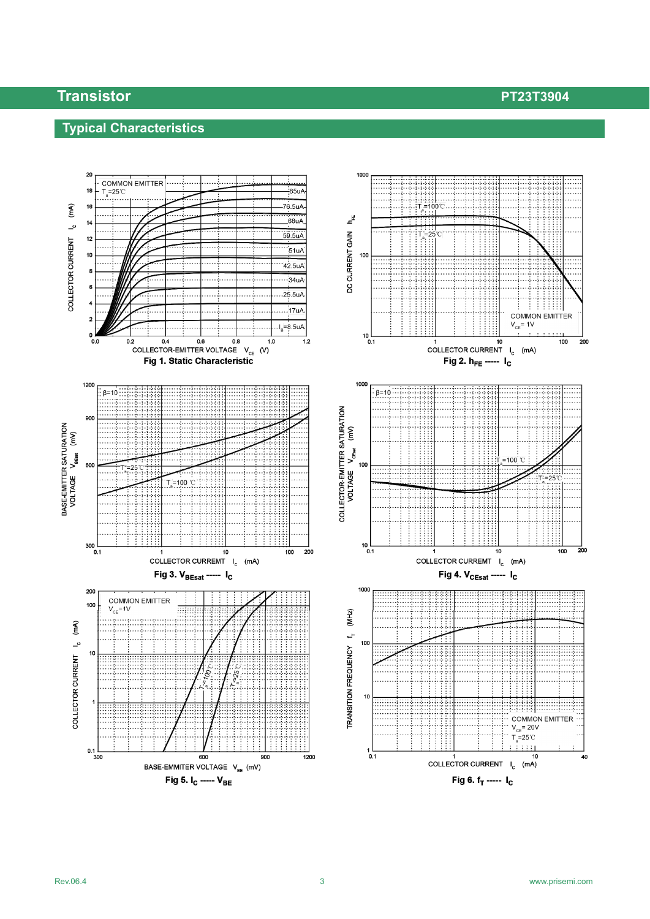## **Typical Characteristics**

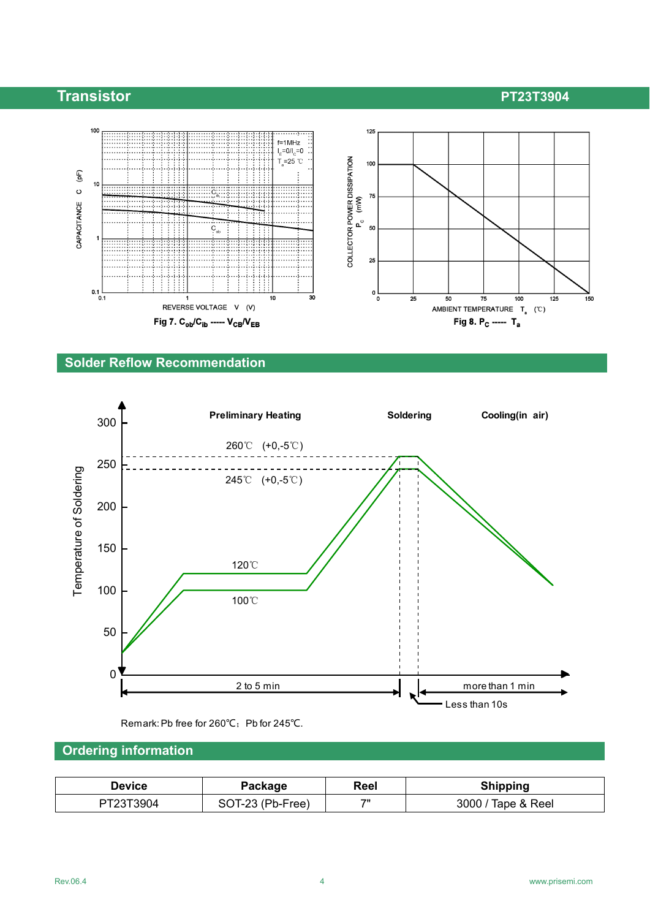

#### **Solder Reflow Recommendation**



Remark: Pb free for 260℃; Pb for 245℃.

### **Ordering information**

| <b>Device</b> | Reel<br>Package  |              | <b>Shipping</b>    |
|---------------|------------------|--------------|--------------------|
| PT23T3904     | SOT-23 (Pb-Free) | $70^{\circ}$ | 3000 / Tape & Reel |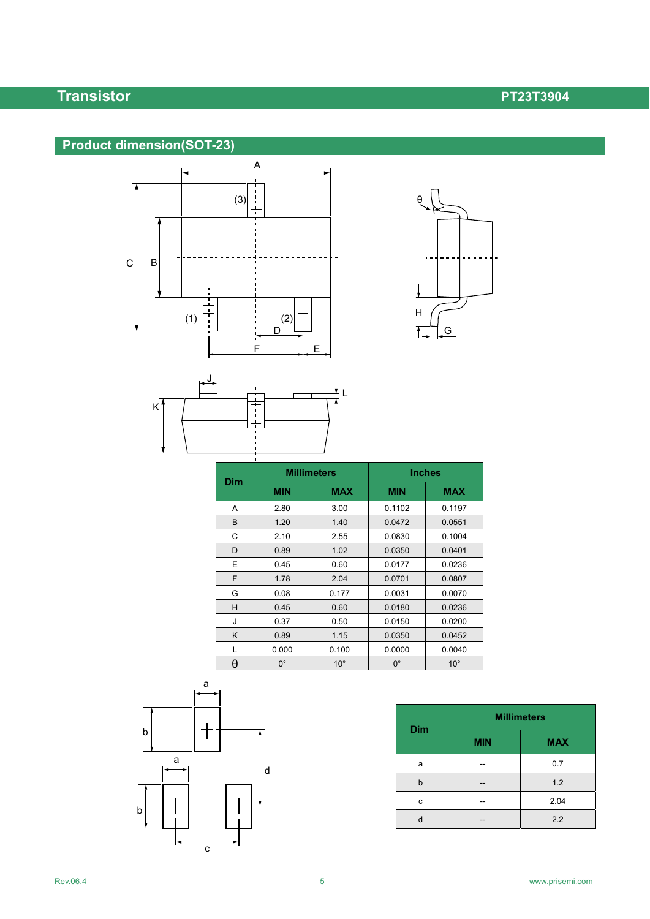# **Product dimension(SOT-23)**







| <b>Millimeters</b><br><b>Dim</b> |             |              | <b>Inches</b> |              |  |  |
|----------------------------------|-------------|--------------|---------------|--------------|--|--|
|                                  | <b>MIN</b>  | <b>MAX</b>   | <b>MIN</b>    | <b>MAX</b>   |  |  |
| A                                | 2.80        | 3.00         | 0.1102        | 0.1197       |  |  |
| B                                | 1.20        | 1.40         | 0.0472        | 0.0551       |  |  |
| C                                | 2.10        | 2.55         | 0.0830        | 0.1004       |  |  |
| D                                | 0.89        | 1.02         | 0.0350        | 0.0401       |  |  |
| E                                | 0.45        | 0.60         | 0.0177        | 0.0236       |  |  |
| F                                | 1.78        | 2.04         | 0.0701        | 0.0807       |  |  |
| G                                | 0.08        | 0.177        | 0.0031        | 0.0070       |  |  |
| н                                | 0.45        | 0.60         | 0.0180        | 0.0236       |  |  |
| J                                | 0.37        | 0.50         | 0.0150        | 0.0200       |  |  |
| K                                | 0.89        | 1.15         | 0.0350        | 0.0452       |  |  |
| L                                | 0.000       | 0.100        | 0.0000        | 0.0040       |  |  |
| θ                                | $0^{\circ}$ | $10^{\circ}$ | $0^{\circ}$   | $10^{\circ}$ |  |  |



| <b>Dim</b> | <b>Millimeters</b> |            |  |  |
|------------|--------------------|------------|--|--|
|            | <b>MIN</b>         | <b>MAX</b> |  |  |
| a          |                    | 0.7        |  |  |
| b          |                    | 1.2        |  |  |
| c          |                    | 2.04       |  |  |
|            |                    | 2.2        |  |  |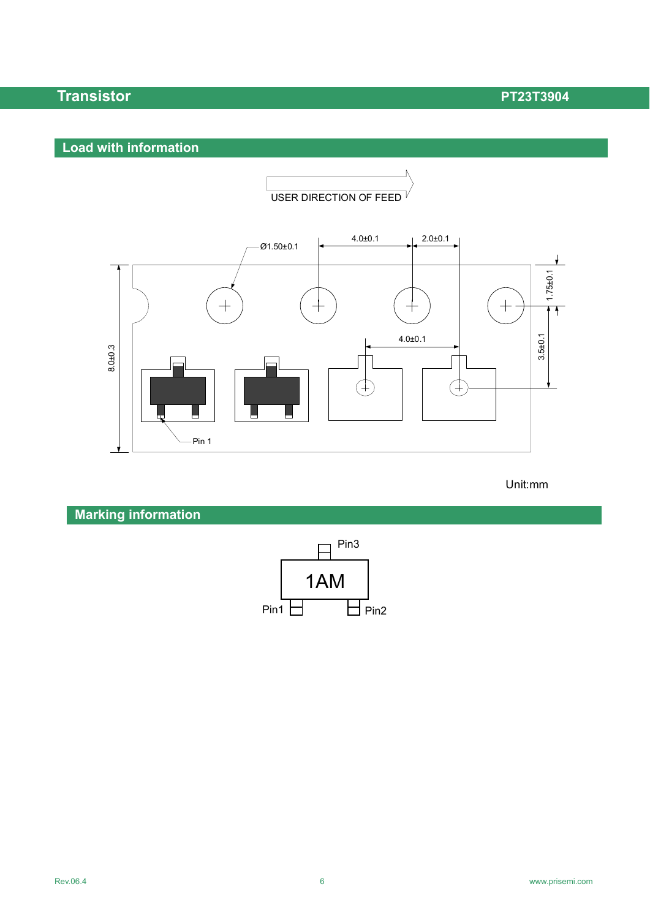### **Load with information**



#### Unit:mm

**Marking information**